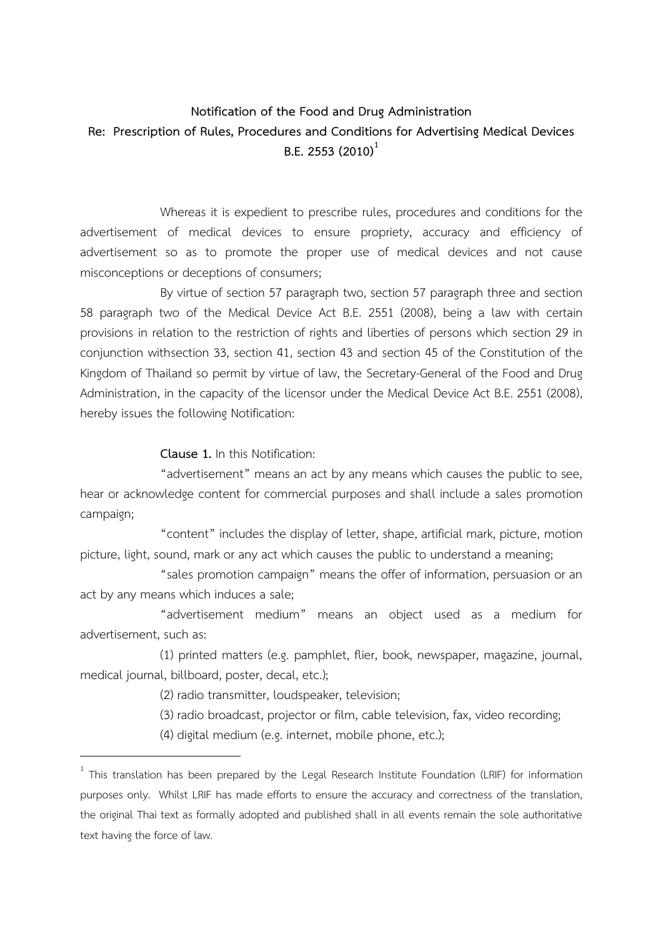## **Notification of the Food and Drug Administration Re: Prescription of Rules, Procedures and Conditions for Advertising Medical Devices B.E. 2553 (2010)<sup>1</sup>**

Whereas it is expedient to prescribe rules, procedures and conditions for the advertisement of medical devices to ensure propriety, accuracy and efficiency of advertisement so as to promote the proper use of medical devices and not cause misconceptions or deceptions of consumers;

By virtue of section 57 paragraph two, section 57 paragraph three and section 58 paragraph two of the Medical Device Act B.E. 2551 (2008), being a law with certain provisions in relation to the restriction of rights and liberties of persons which section 29 in conjunction withsection 33, section 41, section 43 and section 45 of the Constitution of the Kingdom of Thailand so permit by virtue of law, the Secretary-General of the Food and Drug Administration, in the capacity of the licensor under the Medical Device Act B.E. 2551 (2008), hereby issues the following Notification:

**Clause 1.** In this Notification:

"advertisement" means an act by any means which causes the public to see, hear or acknowledge content for commercial purposes and shall include a sales promotion campaign;

"content" includes the display of letter, shape, artificial mark, picture, motion picture, light, sound, mark or any act which causes the public to understand a meaning;

"sales promotion campaign" means the offer of information, persuasion or an act by any means which induces a sale;

"advertisement medium" means an object used as a medium for advertisement, such as:

(1) printed matters (e.g. pamphlet, flier, book, newspaper, magazine, journal, medical journal, billboard, poster, decal, etc.);

(2) radio transmitter, loudspeaker, television;

-

(3) radio broadcast, projector or film, cable television, fax, video recording;

(4) digital medium (e.g. internet, mobile phone, etc.);

 $1$  This translation has been prepared by the Legal Research Institute Foundation (LRIF) for information purposes only. Whilst LRIF has made efforts to ensure the accuracy and correctness of the translation, the original Thai text as formally adopted and published shall in all events remain the sole authoritative text having the force of law.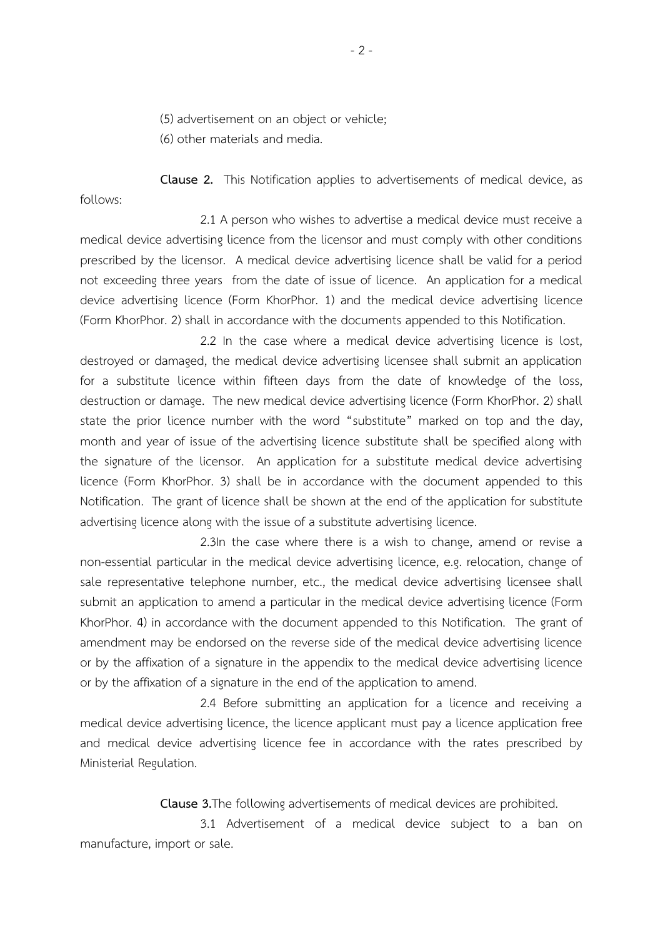(5) advertisement on an object or vehicle;

(6) other materials and media.

**Clause 2.** This Notification applies to advertisements of medical device, as follows:

2.1 A person who wishes to advertise a medical device must receive a medical device advertising licence from the licensor and must comply with other conditions prescribed by the licensor. A medical device advertising licence shall be valid for a period not exceeding three years from the date of issue of licence. An application for a medical device advertising licence (Form KhorPhor. 1) and the medical device advertising licence (Form KhorPhor. 2) shall in accordance with the documents appended to this Notification.

2.2 In the case where a medical device advertising licence is lost, destroyed or damaged, the medical device advertising licensee shall submit an application for a substitute licence within fifteen days from the date of knowledge of the loss, destruction or damage. The new medical device advertising licence (Form KhorPhor. 2) shall state the prior licence number with the word "substitute" marked on top and the day, month and year of issue of the advertising licence substitute shall be specified along with the signature of the licensor. An application for a substitute medical device advertising licence (Form KhorPhor. 3) shall be in accordance with the document appended to this Notification. The grant of licence shall be shown at the end of the application for substitute advertising licence along with the issue of a substitute advertising licence.

2.3In the case where there is a wish to change, amend or revise a non-essential particular in the medical device advertising licence, e.g. relocation, change of sale representative telephone number, etc., the medical device advertising licensee shall submit an application to amend a particular in the medical device advertising licence (Form KhorPhor. 4) in accordance with the document appended to this Notification. The grant of amendment may be endorsed on the reverse side of the medical device advertising licence or by the affixation of a signature in the appendix to the medical device advertising licence or by the affixation of a signature in the end of the application to amend.

2.4 Before submitting an application for a licence and receiving a medical device advertising licence, the licence applicant must pay a licence application free and medical device advertising licence fee in accordance with the rates prescribed by Ministerial Regulation.

**Clause 3.**The following advertisements of medical devices are prohibited.

3.1 Advertisement of a medical device subject to a ban on manufacture, import or sale.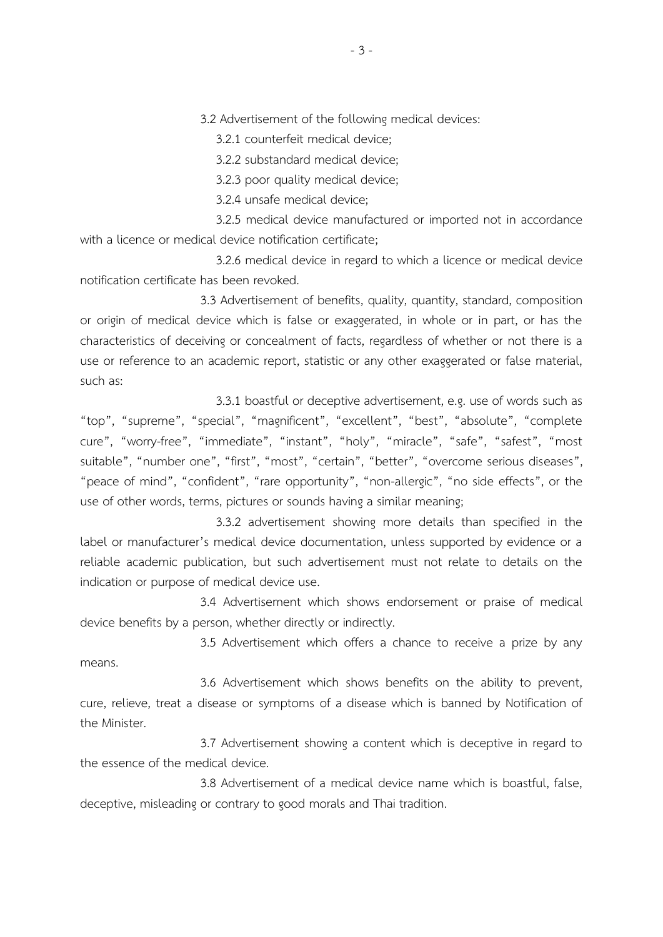3.2 Advertisement of the following medical devices:

3.2.1 counterfeit medical device;

3.2.2 substandard medical device;

3.2.3 poor quality medical device;

3.2.4 unsafe medical device;

 3.2.5 medical device manufactured or imported not in accordance with a licence or medical device notification certificate;

 3.2.6 medical device in regard to which a licence or medical device notification certificate has been revoked.

3.3 Advertisement of benefits, quality, quantity, standard, composition or origin of medical device which is false or exaggerated, in whole or in part, or has the characteristics of deceiving or concealment of facts, regardless of whether or not there is a use or reference to an academic report, statistic or any other exaggerated or false material, such as:

 3.3.1 boastful or deceptive advertisement, e.g. use of words such as "top", "supreme", "special", "magnificent", "excellent", "best", "absolute", "complete cure", "worry-free", "immediate", "instant", "holy", "miracle", "safe", "safest", "most suitable", "number one", "first", "most", "certain", "better", "overcome serious diseases", "peace of mind", "confident", "rare opportunity", "non-allergic", "no side effects", or the use of other words, terms, pictures or sounds having a similar meaning;

 3.3.2 advertisement showing more details than specified in the label or manufacturer's medical device documentation, unless supported by evidence or a reliable academic publication, but such advertisement must not relate to details on the indication or purpose of medical device use.

3.4 Advertisement which shows endorsement or praise of medical device benefits by a person, whether directly or indirectly.

3.5 Advertisement which offers a chance to receive a prize by any means.

3.6 Advertisement which shows benefits on the ability to prevent, cure, relieve, treat a disease or symptoms of a disease which is banned by Notification of the Minister.

3.7 Advertisement showing a content which is deceptive in regard to the essence of the medical device.

3.8 Advertisement of a medical device name which is boastful, false, deceptive, misleading or contrary to good morals and Thai tradition.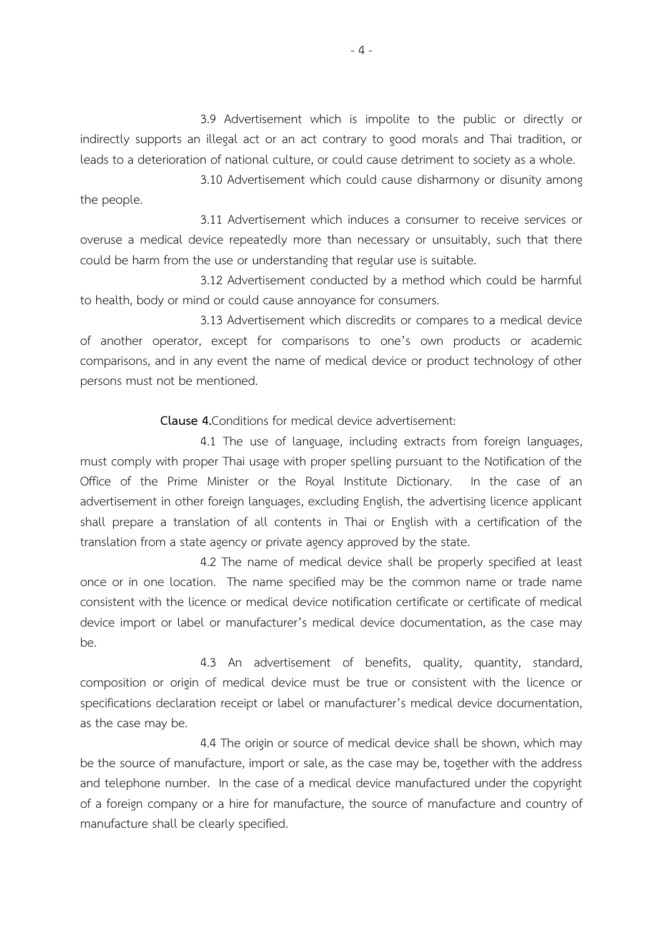3.9 Advertisement which is impolite to the public or directly or indirectly supports an illegal act or an act contrary to good morals and Thai tradition, or leads to a deterioration of national culture, or could cause detriment to society as a whole.

3.10 Advertisement which could cause disharmony or disunity among the people.

3.11 Advertisement which induces a consumer to receive services or overuse a medical device repeatedly more than necessary or unsuitably, such that there could be harm from the use or understanding that regular use is suitable.

3.12 Advertisement conducted by a method which could be harmful to health, body or mind or could cause annoyance for consumers.

3.13 Advertisement which discredits or compares to a medical device of another operator, except for comparisons to one's own products or academic comparisons, and in any event the name of medical device or product technology of other persons must not be mentioned.

#### **Clause 4.**Conditions for medical device advertisement:

4.1 The use of language, including extracts from foreign languages, must comply with proper Thai usage with proper spelling pursuant to the Notification of the Office of the Prime Minister or the Royal Institute Dictionary. In the case of an advertisement in other foreign languages, excluding English, the advertising licence applicant shall prepare a translation of all contents in Thai or English with a certification of the translation from a state agency or private agency approved by the state.

4.2 The name of medical device shall be properly specified at least once or in one location. The name specified may be the common name or trade name consistent with the licence or medical device notification certificate or certificate of medical device import or label or manufacturer's medical device documentation, as the case may be.

4.3 An advertisement of benefits, quality, quantity, standard, composition or origin of medical device must be true or consistent with the licence or specifications declaration receipt or label or manufacturer's medical device documentation, as the case may be.

4.4 The origin or source of medical device shall be shown, which may be the source of manufacture, import or sale, as the case may be, together with the address and telephone number. In the case of a medical device manufactured under the copyright of a foreign company or a hire for manufacture, the source of manufacture and country of manufacture shall be clearly specified.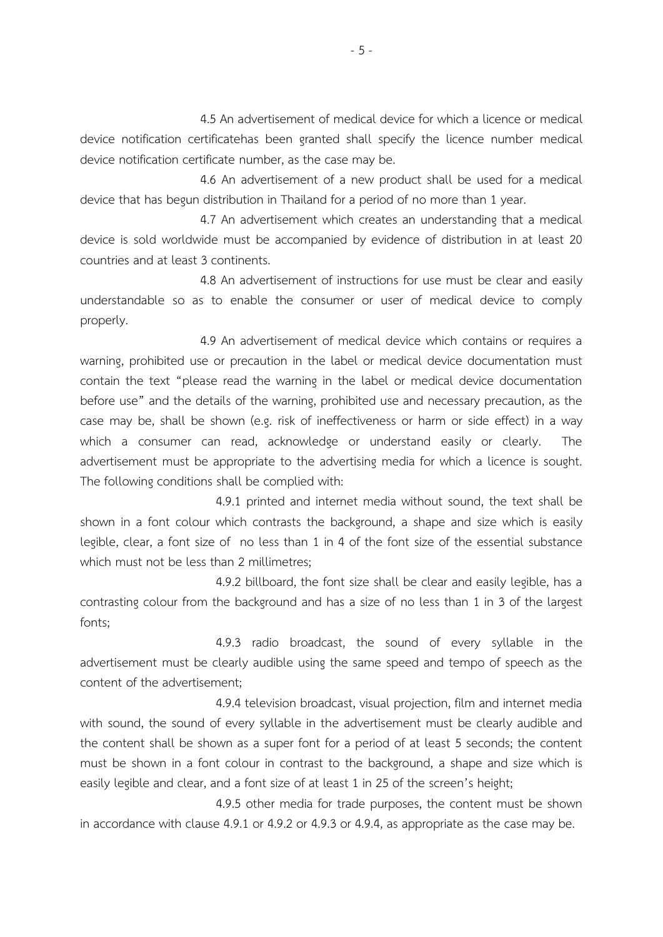4.5 An advertisement of medical device for which a licence or medical device notification certificatehas been granted shall specify the licence number medical device notification certificate number, as the case may be.

4.6 An advertisement of a new product shall be used for a medical device that has begun distribution in Thailand for a period of no more than 1 year.

4.7 An advertisement which creates an understanding that a medical device is sold worldwide must be accompanied by evidence of distribution in at least 20 countries and at least 3 continents.

4.8 An advertisement of instructions for use must be clear and easily understandable so as to enable the consumer or user of medical device to comply properly.

4.9 An advertisement of medical device which contains or requires a warning, prohibited use or precaution in the label or medical device documentation must contain the text "please read the warning in the label or medical device documentation before use" and the details of the warning, prohibited use and necessary precaution, as the case may be, shall be shown (e.g. risk of ineffectiveness or harm or side effect) in a way which a consumer can read, acknowledge or understand easily or clearly. The advertisement must be appropriate to the advertising media for which a licence is sought. The following conditions shall be complied with:

 4.9.1 printed and internet media without sound, the text shall be shown in a font colour which contrasts the background, a shape and size which is easily legible, clear, a font size of no less than 1 in 4 of the font size of the essential substance which must not be less than 2 millimetres;

 4.9.2 billboard, the font size shall be clear and easily legible, has a contrasting colour from the background and has a size of no less than 1 in 3 of the largest fonts;

 4.9.3 radio broadcast, the sound of every syllable in the advertisement must be clearly audible using the same speed and tempo of speech as the content of the advertisement;

 4.9.4 television broadcast, visual projection, film and internet media with sound, the sound of every syllable in the advertisement must be clearly audible and the content shall be shown as a super font for a period of at least 5 seconds; the content must be shown in a font colour in contrast to the background, a shape and size which is easily legible and clear, and a font size of at least 1 in 25 of the screen's height;

 4.9.5 other media for trade purposes, the content must be shown in accordance with clause 4.9.1 or 4.9.2 or 4.9.3 or 4.9.4, as appropriate as the case may be.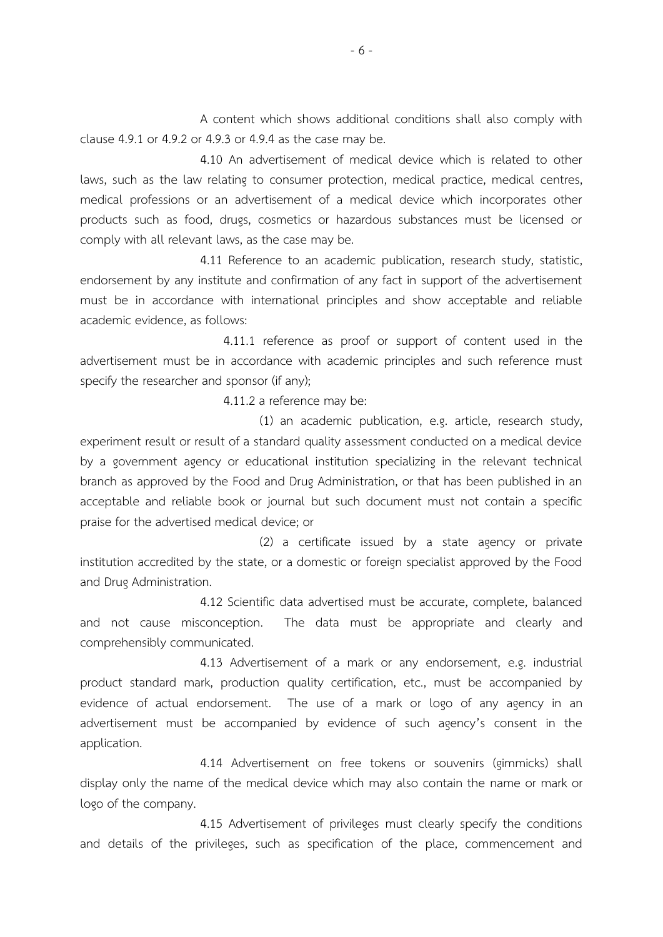A content which shows additional conditions shall also comply with clause 4.9.1 or 4.9.2 or 4.9.3 or 4.9.4 as the case may be.

4.10 An advertisement of medical device which is related to other laws, such as the law relating to consumer protection, medical practice, medical centres, medical professions or an advertisement of a medical device which incorporates other products such as food, drugs, cosmetics or hazardous substances must be licensed or comply with all relevant laws, as the case may be.

4.11 Reference to an academic publication, research study, statistic, endorsement by any institute and confirmation of any fact in support of the advertisement must be in accordance with international principles and show acceptable and reliable academic evidence, as follows:

 4.11.1 reference as proof or support of content used in the advertisement must be in accordance with academic principles and such reference must specify the researcher and sponsor (if any);

4.11.2 a reference may be:

 (1) an academic publication, e.g. article, research study, experiment result or result of a standard quality assessment conducted on a medical device by a government agency or educational institution specializing in the relevant technical branch as approved by the Food and Drug Administration, or that has been published in an acceptable and reliable book or journal but such document must not contain a specific praise for the advertised medical device; or

 (2) a certificate issued by a state agency or private institution accredited by the state, or a domestic or foreign specialist approved by the Food and Drug Administration.

4.12 Scientific data advertised must be accurate, complete, balanced and not cause misconception. The data must be appropriate and clearly and comprehensibly communicated.

4.13 Advertisement of a mark or any endorsement, e.g. industrial product standard mark, production quality certification, etc., must be accompanied by evidence of actual endorsement. The use of a mark or logo of any agency in an advertisement must be accompanied by evidence of such agency's consent in the application.

4.14 Advertisement on free tokens or souvenirs (gimmicks) shall display only the name of the medical device which may also contain the name or mark or logo of the company.

4.15 Advertisement of privileges must clearly specify the conditions and details of the privileges, such as specification of the place, commencement and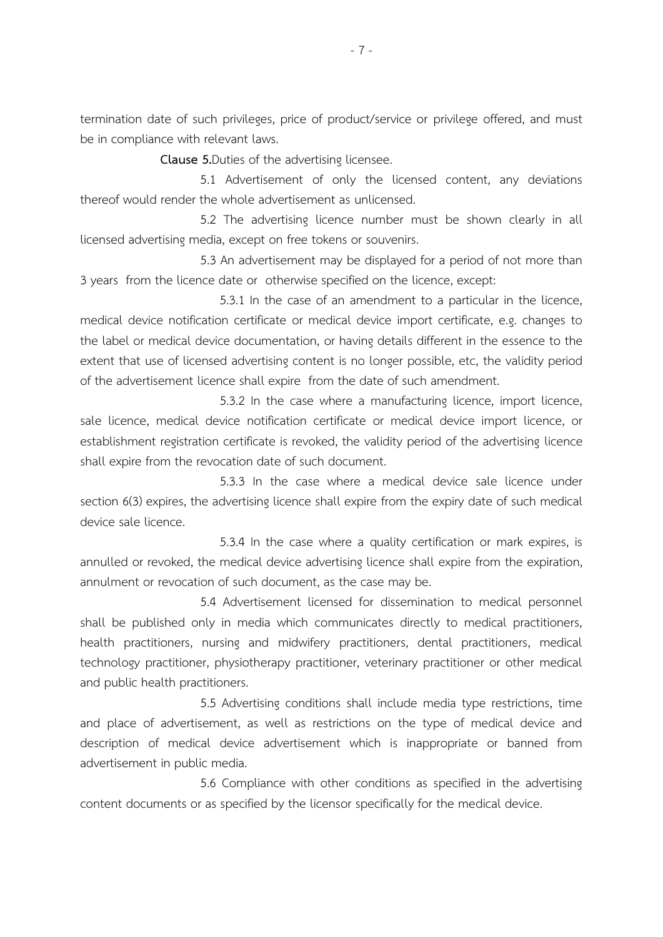termination date of such privileges, price of product/service or privilege offered, and must be in compliance with relevant laws.

**Clause 5.**Duties of the advertising licensee.

5.1 Advertisement of only the licensed content, any deviations thereof would render the whole advertisement as unlicensed.

5.2 The advertising licence number must be shown clearly in all licensed advertising media, except on free tokens or souvenirs.

5.3 An advertisement may be displayed for a period of not more than 3 years from the licence date or otherwise specified on the licence, except:

 5.3.1 In the case of an amendment to a particular in the licence, medical device notification certificate or medical device import certificate, e.g. changes to the label or medical device documentation, or having details different in the essence to the extent that use of licensed advertising content is no longer possible, etc, the validity period of the advertisement licence shall expire from the date of such amendment.

 5.3.2 In the case where a manufacturing licence, import licence, sale licence, medical device notification certificate or medical device import licence, or establishment registration certificate is revoked, the validity period of the advertising licence shall expire from the revocation date of such document.

 5.3.3 In the case where a medical device sale licence under section 6(3) expires, the advertising licence shall expire from the expiry date of such medical device sale licence.

 5.3.4 In the case where a quality certification or mark expires, is annulled or revoked, the medical device advertising licence shall expire from the expiration, annulment or revocation of such document, as the case may be.

5.4 Advertisement licensed for dissemination to medical personnel shall be published only in media which communicates directly to medical practitioners, health practitioners, nursing and midwifery practitioners, dental practitioners, medical technology practitioner, physiotherapy practitioner, veterinary practitioner or other medical and public health practitioners.

5.5 Advertising conditions shall include media type restrictions, time and place of advertisement, as well as restrictions on the type of medical device and description of medical device advertisement which is inappropriate or banned from advertisement in public media.

5.6 Compliance with other conditions as specified in the advertising content documents or as specified by the licensor specifically for the medical device.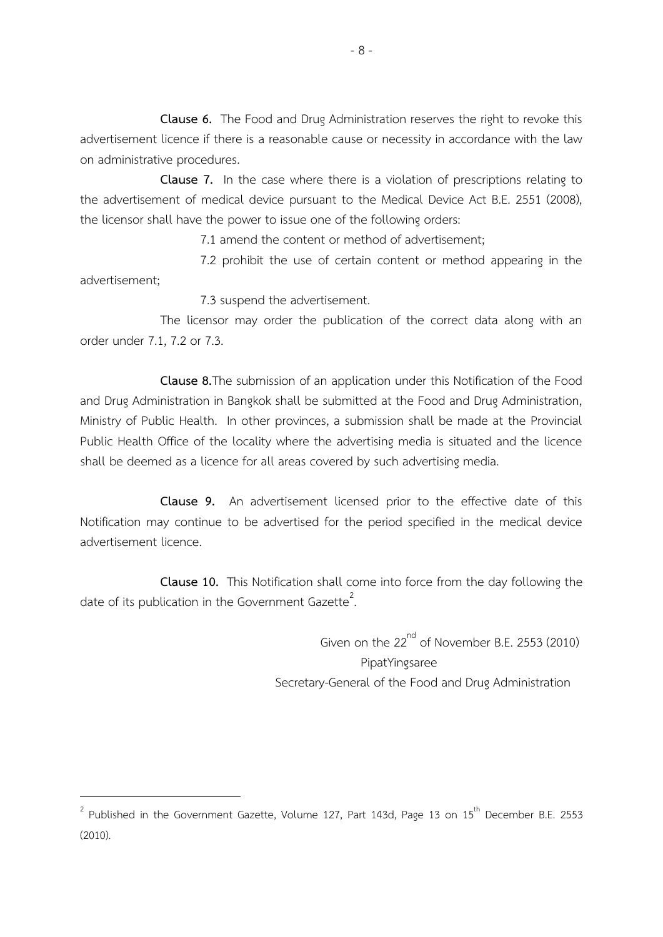**Clause 6.** The Food and Drug Administration reserves the right to revoke this advertisement licence if there is a reasonable cause or necessity in accordance with the law on administrative procedures.

**Clause 7.** In the case where there is a violation of prescriptions relating to the advertisement of medical device pursuant to the Medical Device Act B.E. 2551 (2008), the licensor shall have the power to issue one of the following orders:

7.1 amend the content or method of advertisement;

7.2 prohibit the use of certain content or method appearing in the advertisement;

7.3 suspend the advertisement.

The licensor may order the publication of the correct data along with an order under 7.1, 7.2 or 7.3.

**Clause 8.**The submission of an application under this Notification of the Food and Drug Administration in Bangkok shall be submitted at the Food and Drug Administration, Ministry of Public Health. In other provinces, a submission shall be made at the Provincial Public Health Office of the locality where the advertising media is situated and the licence shall be deemed as a licence for all areas covered by such advertising media.

**Clause 9.** An advertisement licensed prior to the effective date of this Notification may continue to be advertised for the period specified in the medical device advertisement licence.

**Clause 10.** This Notification shall come into force from the day following the date of its publication in the Government Gazette<sup>2</sup>. .<br>.

> Given on the  $22^{nd}$  of November B.E. 2553 (2010) PipatYingsaree Secretary-General of the Food and Drug Administration

<u>.</u>

 $^{2}$  Published in the Government Gazette, Volume 127, Part 143d, Page 13 on 15<sup>th</sup> December B.E. 2553 (2010).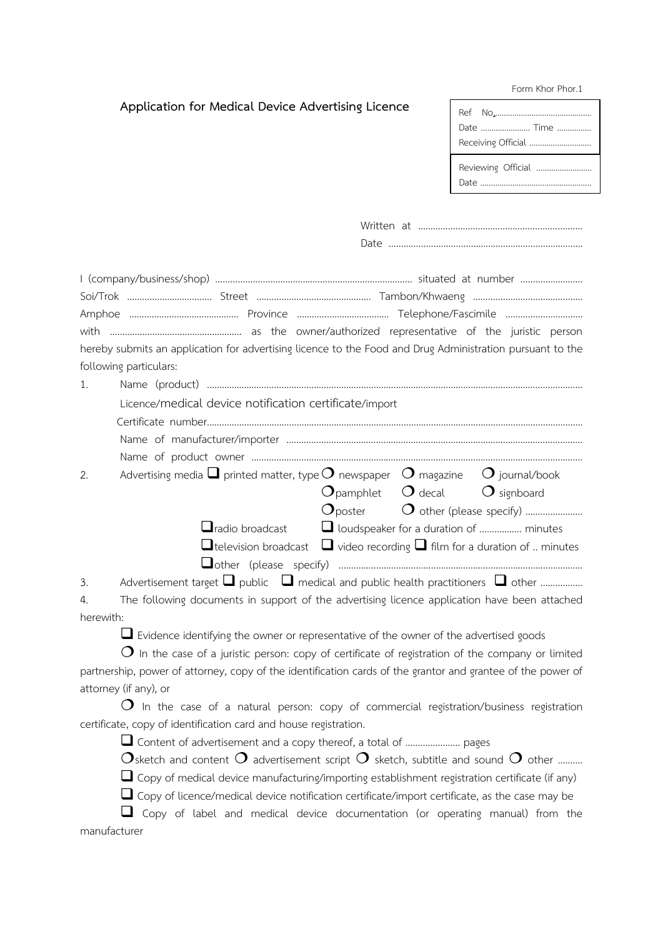#### Form Khor Phor.1

|  |  | Application for Medical Device Advertising Licence |  |
|--|--|----------------------------------------------------|--|
|  |  |                                                    |  |

| Date  Time         |  |
|--------------------|--|
| Receiving Official |  |
| Reviewing Official |  |

| Written at |  |
|------------|--|
| Date       |  |

|                        | hereby submits an application for advertising licence to the Food and Drug Administration pursuant to the |
|------------------------|-----------------------------------------------------------------------------------------------------------|
| following particulars: |                                                                                                           |
|                        |                                                                                                           |

Licence/medical device notification certificate/import

| ни <i>а</i> н⇔ т | number |  |  |
|------------------|--------|--|--|
|                  |        |  |  |

| $\Omega$ $\Omega$ $\Omega$                                                                                        |  |  |
|-------------------------------------------------------------------------------------------------------------------|--|--|
| Advertising media $\square$ printed matter, type $O$ newspaper $\hspace{1.9cm} O$ magazine $\square$ journal/book |  |  |
|                                                                                                                   |  |  |
|                                                                                                                   |  |  |

|                                                                                           | O pamphiet O decal O signboard |                                                           |
|-------------------------------------------------------------------------------------------|--------------------------------|-----------------------------------------------------------|
|                                                                                           |                                | $O_{\text{poster}}$ $O_{\text{other (please specify) 1}}$ |
|                                                                                           |                                |                                                           |
| $\Box$ television broadcast $\Box$ video recording $\Box$ film for a duration of  minutes |                                |                                                           |
|                                                                                           |                                |                                                           |

3. Advertisement target  $\Box$  public  $\Box$  medical and public health practitioners  $\Box$  other ..................

4. The following documents in support of the advertising licence application have been attached herewith:

 $\square$  Evidence identifying the owner or representative of the owner of the advertised goods

 $O$  In the case of a juristic person: copy of certificate of registration of the company or limited partnership, power of attorney, copy of the identification cards of the grantor and grantee of the power of attorney (if any), or

 $\Omega$  In the case of a natural person: copy of commercial registration/business registration certificate, copy of identification card and house registration.

Content of advertisement and a copy thereof, a total of …………………. pages

Osketch and content O advertisement script O sketch, subtitle and sound O other ……….

 $\square$  Copy of medical device manufacturing/importing establishment registration certificate (if any)

 $\Box$  Copy of licence/medical device notification certificate/import certificate, as the case may be

 $\Box$  Copy of label and medical device documentation (or operating manual) from the manufacturer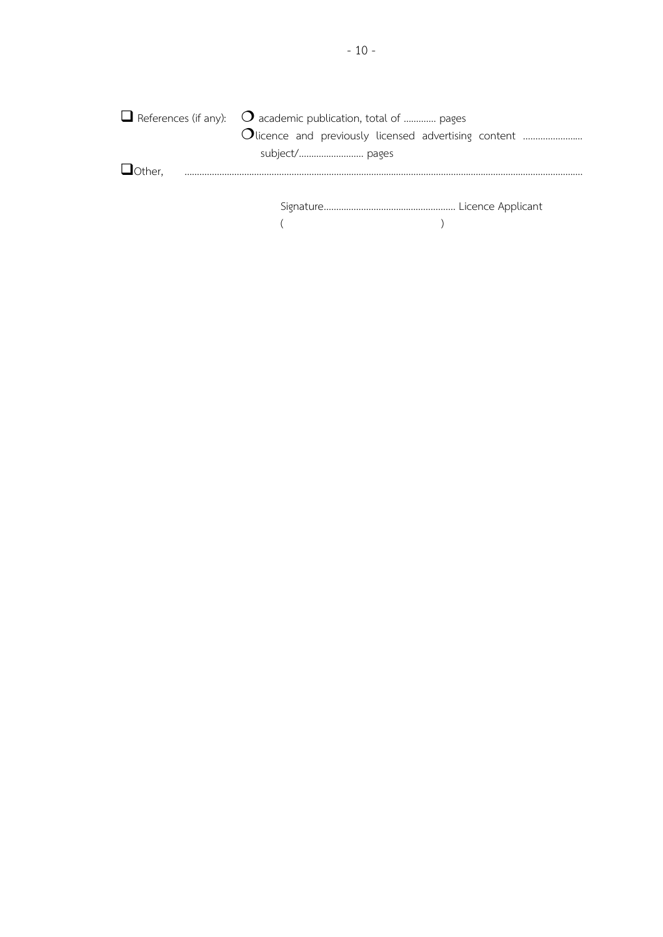|                 | $\Box$ References (if any): $\bigcirc$ academic publication, total of  pages |  |
|-----------------|------------------------------------------------------------------------------|--|
|                 | Olicence and previously licensed advertising content                         |  |
|                 |                                                                              |  |
| <b>J</b> Other, |                                                                              |  |
|                 |                                                                              |  |
|                 |                                                                              |  |
|                 |                                                                              |  |
|                 |                                                                              |  |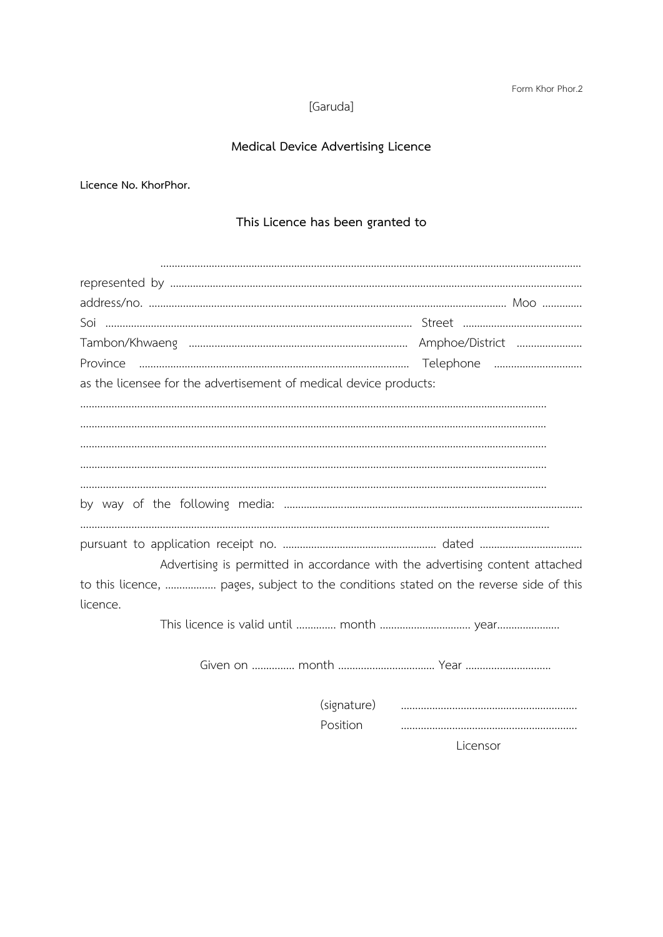[Garuda]

## **Medical Device Advertising Licence**

**Licence No. KhorPhor.**

### **This Licence has been granted to**

| Province                                                                              |          |  |
|---------------------------------------------------------------------------------------|----------|--|
| as the licensee for the advertisement of medical device products:                     |          |  |
|                                                                                       |          |  |
|                                                                                       |          |  |
|                                                                                       |          |  |
|                                                                                       |          |  |
|                                                                                       |          |  |
|                                                                                       |          |  |
|                                                                                       |          |  |
| Advertising is permitted in accordance with the advertising content attached          |          |  |
| to this licence,  pages, subject to the conditions stated on the reverse side of this |          |  |
| licence.                                                                              |          |  |
|                                                                                       |          |  |
|                                                                                       |          |  |
|                                                                                       |          |  |
|                                                                                       | Position |  |

Licensor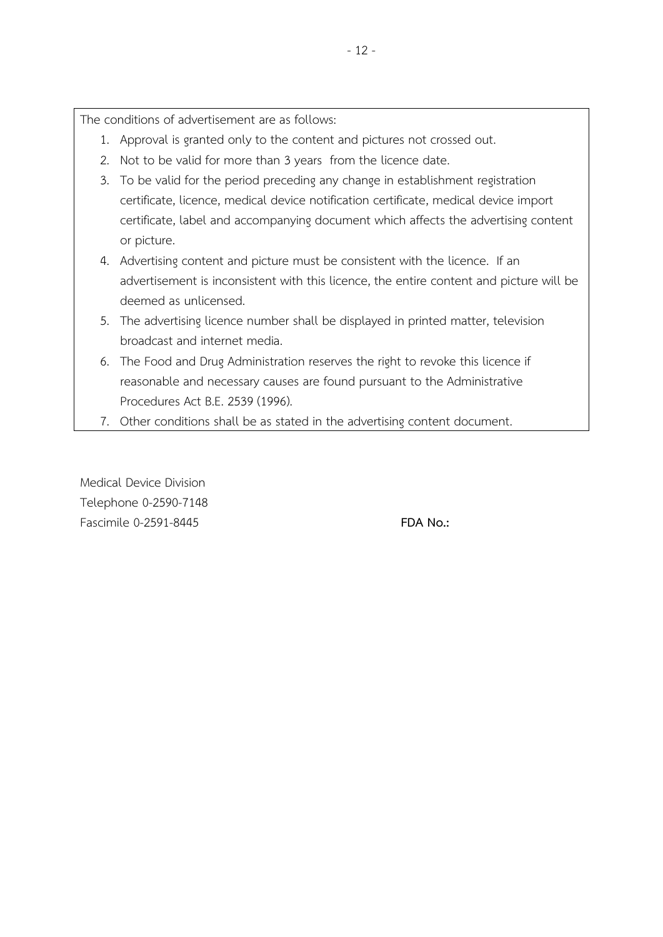The conditions of advertisement are as follows:

- 1. Approval is granted only to the content and pictures not crossed out.
- 2. Not to be valid for more than 3 years from the licence date.
- 3. To be valid for the period preceding any change in establishment registration certificate, licence, medical device notification certificate, medical device import certificate, label and accompanying document which affects the advertising content or picture.
- 4. Advertising content and picture must be consistent with the licence. If an advertisement is inconsistent with this licence, the entire content and picture will be deemed as unlicensed.
- 5. The advertising licence number shall be displayed in printed matter, television broadcast and internet media.
- 6. The Food and Drug Administration reserves the right to revoke this licence if reasonable and necessary causes are found pursuant to the Administrative Procedures Act B.E. 2539 (1996).
- 7. Other conditions shall be as stated in the advertising content document.

Medical Device Division Telephone 0-2590-7148 Fascimile 0-2591-8445 **FDA No.:**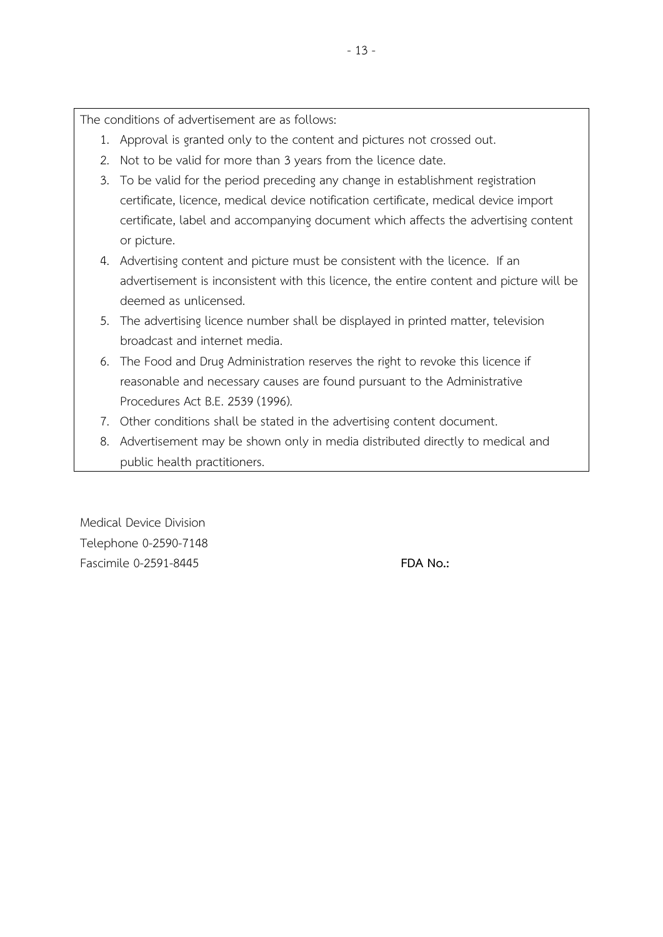The conditions of advertisement are as follows:

- 1. Approval is granted only to the content and pictures not crossed out.
- 2. Not to be valid for more than 3 years from the licence date.
- 3. To be valid for the period preceding any change in establishment registration certificate, licence, medical device notification certificate, medical device import certificate, label and accompanying document which affects the advertising content or picture.
- 4. Advertising content and picture must be consistent with the licence. If an advertisement is inconsistent with this licence, the entire content and picture will be deemed as unlicensed.
- 5. The advertising licence number shall be displayed in printed matter, television broadcast and internet media.
- 6. The Food and Drug Administration reserves the right to revoke this licence if reasonable and necessary causes are found pursuant to the Administrative Procedures Act B.E. 2539 (1996).
- 7. Other conditions shall be stated in the advertising content document.
- 8. Advertisement may be shown only in media distributed directly to medical and public health practitioners.

Medical Device Division Telephone 0-2590-7148 Fascimile 0-2591-8445 **FDA No.:**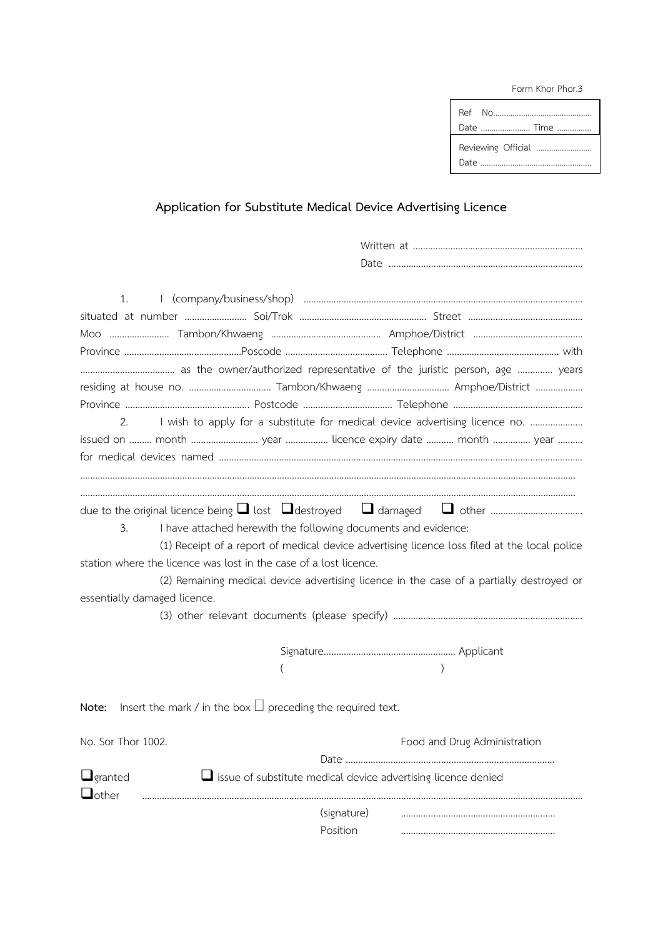Form Khor Phor.3

| Date  Time         |
|--------------------|
| Reviewing Official |

# **Application for Substitute Medical Device Advertising Licence**

| 1.<br>2.<br>issued on  month  year  licence expiry date  month  year      |             | I wish to apply for a substitute for medical device advertising licence no.                  |
|---------------------------------------------------------------------------|-------------|----------------------------------------------------------------------------------------------|
|                                                                           |             |                                                                                              |
|                                                                           |             |                                                                                              |
| 3.<br>I have attached herewith the following documents and evidence:      |             | (1) Receipt of a report of medical device advertising licence loss filed at the local police |
| station where the licence was lost in the case of a lost licence.         |             |                                                                                              |
|                                                                           |             | (2) Remaining medical device advertising licence in the case of a partially destroyed or     |
| essentially damaged licence.                                              |             |                                                                                              |
|                                                                           |             |                                                                                              |
|                                                                           |             |                                                                                              |
|                                                                           |             |                                                                                              |
|                                                                           |             |                                                                                              |
| Insert the mark / in the box $\Box$ preceding the required text.<br>Note: |             |                                                                                              |
| No. Sor Thor 1002.                                                        |             | Food and Drug Administration                                                                 |
|                                                                           |             |                                                                                              |
| $\Box$ granted<br>$\Box$ other                                            |             | issue of substitute medical device advertising licence denied                                |
|                                                                           | (signature) |                                                                                              |
|                                                                           | Position    |                                                                                              |